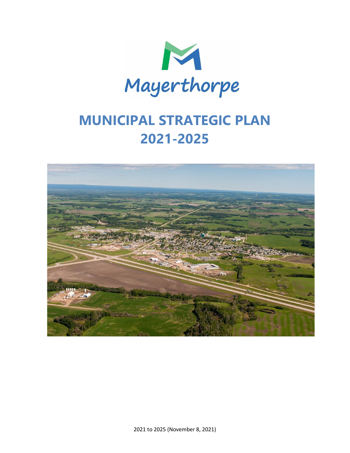

# **MUNICIPAL STRATEGIC PLAN 2021-2025**

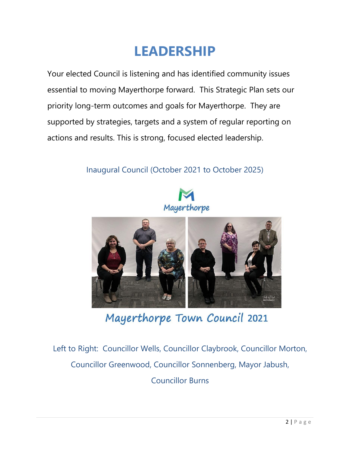# **LEADERSHIP**

Your elected Council is listening and has identified community issues essential to moving Mayerthorpe forward. This Strategic Plan sets our priority long-term outcomes and goals for Mayerthorpe. They are supported by strategies, targets and a system of regular reporting on actions and results. This is strong, focused elected leadership.

# Inaugural Council (October 2021 to October 2025)





Mayerthorpe Town Council 2021

 $\frac{1}{2}$ Left to Right: Councillor Wells, Councillor Claybrook, Councillor Morton, Councillor Greenwood, Councillor Sonnenberg, Mayor Jabush,

Councillor Burns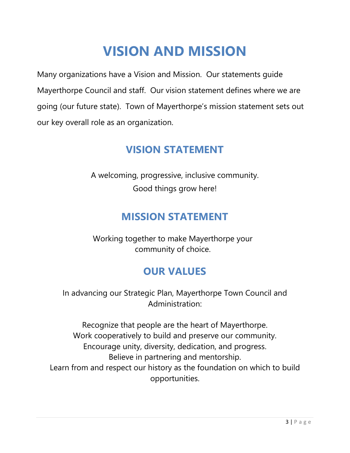# **VISION AND MISSION**

Many organizations have a Vision and Mission. Our statements guide Mayerthorpe Council and staff. Our vision statement defines where we are going (our future state). Town of Mayerthorpe's mission statement sets out our key overall role as an organization.

# **VISION STATEMENT**

A welcoming, progressive, inclusive community. Good things grow here!

# **MISSION STATEMENT**

Working together to make Mayerthorpe your community of choice.

# **OUR VALUES**

In advancing our Strategic Plan, Mayerthorpe Town Council and Administration:

Recognize that people are the heart of Mayerthorpe. Work cooperatively to build and preserve our community. Encourage unity, diversity, dedication, and progress. Believe in partnering and mentorship. Learn from and respect our history as the foundation on which to build opportunities.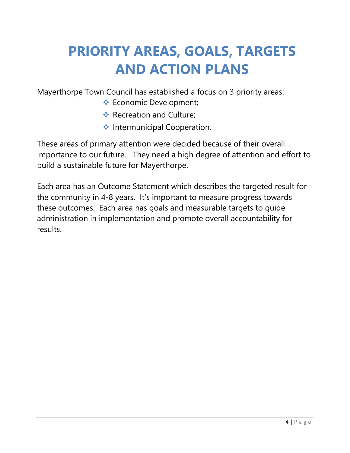# **PRIORITY AREAS, GOALS, TARGETS AND ACTION PLANS**

Mayerthorpe Town Council has established a focus on 3 priority areas:

- ❖ Economic Development;
- ❖ Recreation and Culture;
- ❖ Intermunicipal Cooperation.

These areas of primary attention were decided because of their overall importance to our future. They need a high degree of attention and effort to build a sustainable future for Mayerthorpe.

Each area has an Outcome Statement which describes the targeted result for the community in 4-8 years. It's important to measure progress towards these outcomes. Each area has goals and measurable targets to guide administration in implementation and promote overall accountability for results.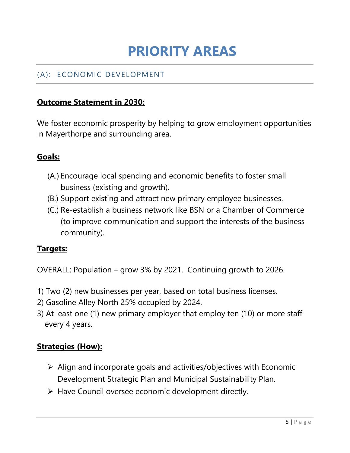# **PRIORITY AREAS**

## (A): ECONOMIC DEVELOPMENT

### **Outcome Statement in 2030:**

We foster economic prosperity by helping to grow employment opportunities in Mayerthorpe and surrounding area.

#### **Goals:**

- (A.) Encourage local spending and economic benefits to foster small business (existing and growth).
- (B.) Support existing and attract new primary employee businesses.
- (C.) Re-establish a business network like BSN or a Chamber of Commerce (to improve communication and support the interests of the business community).

#### **Targets:**

OVERALL: Population – grow 3% by 2021. Continuing growth to 2026.

- 1) Two (2) new businesses per year, based on total business licenses.
- 2) Gasoline Alley North 25% occupied by 2024.
- 3) At least one (1) new primary employer that employ ten (10) or more staff every 4 years.

#### **Strategies (How):**

- ➢ Align and incorporate goals and activities/objectives with Economic Development Strategic Plan and Municipal Sustainability Plan.
- ➢ Have Council oversee economic development directly.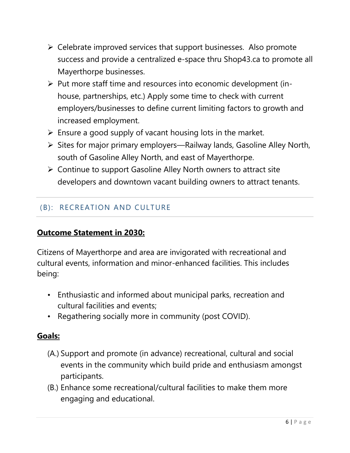- ➢ Celebrate improved services that support businesses. Also promote success and provide a centralized e-space thru Shop43.ca to promote all Mayerthorpe businesses.
- ➢ Put more staff time and resources into economic development (inhouse, partnerships, etc.) Apply some time to check with current employers/businesses to define current limiting factors to growth and increased employment.
- $\triangleright$  Ensure a good supply of vacant housing lots in the market.
- ➢ Sites for major primary employers—Railway lands, Gasoline Alley North, south of Gasoline Alley North, and east of Mayerthorpe.
- ➢ Continue to support Gasoline Alley North owners to attract site developers and downtown vacant building owners to attract tenants.

### (B): RECREATION AND CULTURE

#### **Outcome Statement in 2030:**

Citizens of Mayerthorpe and area are invigorated with recreational and cultural events, information and minor-enhanced facilities. This includes being:

- Enthusiastic and informed about municipal parks, recreation and cultural facilities and events;
- Regathering socially more in community (post COVID).

#### **Goals:**

- (A.) Support and promote (in advance) recreational, cultural and social events in the community which build pride and enthusiasm amongst participants.
- (B.) Enhance some recreational/cultural facilities to make them more engaging and educational.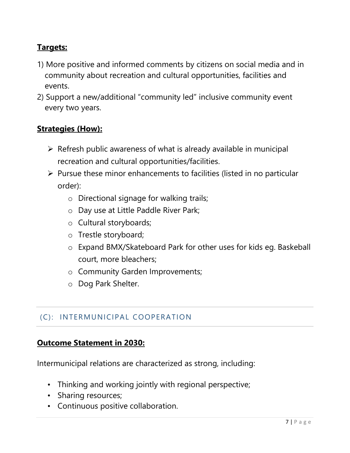## **Targets:**

- 1) More positive and informed comments by citizens on social media and in community about recreation and cultural opportunities, facilities and events.
- 2) Support a new/additional "community led" inclusive community event every two years.

### **Strategies (How):**

- $\triangleright$  Refresh public awareness of what is already available in municipal recreation and cultural opportunities/facilities.
- ➢ Pursue these minor enhancements to facilities (listed in no particular order):
	- o Directional signage for walking trails;
	- o Day use at Little Paddle River Park;
	- o Cultural storyboards;
	- o Trestle storyboard;
	- o Expand BMX/Skateboard Park for other uses for kids eg. Baskeball court, more bleachers;
	- o Community Garden Improvements;
	- o Dog Park Shelter.

### (C): INTERMUNICIPAL COOPERATION

#### **Outcome Statement in 2030:**

Intermunicipal relations are characterized as strong, including:

- Thinking and working jointly with regional perspective;
- Sharing resources;
- Continuous positive collaboration.